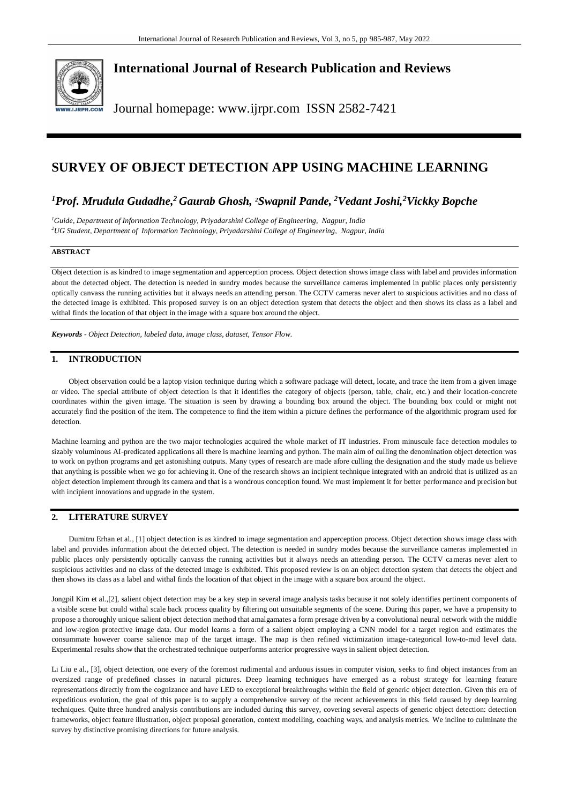

## **International Journal of Research Publication and Reviews**

Journal homepage: www.ijrpr.com ISSN 2582-7421

# **SURVEY OF OBJECT DETECTION APP USING MACHINE LEARNING**

## *<sup>1</sup>Prof. Mrudula Gudadhe, <sup>2</sup>Gaurab Ghosh, 2Swapnil Pande, <sup>2</sup>Vedant Joshi,<sup>2</sup>Vickky Bopche*

*<sup>1</sup>Guide, Department of Information Technology, Priyadarshini College of Engineering, Nagpur, India <sup>2</sup>UG Student, Department of Information Technology, Priyadarshini College of Engineering, Nagpur, India*

### **ABSTRACT**

Object detection is as kindred to image segmentation and apperception process. Object detection shows image class with label and provides information about the detected object. The detection is needed in sundry modes because the surveillance cameras implemented in public places only persistently optically canvass the running activities but it always needs an attending person. The CCTV cameras never alert to suspicious activities and no class of the detected image is exhibited. This proposed survey is on an object detection system that detects the object and then shows its class as a label and withal finds the location of that object in the image with a square box around the object.

*Keywords - Object Detection, labeled data, image class, dataset, Tensor Flow.*

## **1. INTRODUCTION**

Object observation could be a laptop vision technique during which a software package will detect, locate, and trace the item from a given image or video. The special attribute of object detection is that it identifies the category of objects (person, table, chair, etc.) and their location-concrete coordinates within the given image. The situation is seen by drawing a bounding box around the object. The bounding box could or might not accurately find the position of the item. The competence to find the item within a picture defines the performance of the algorithmic program used for detection.

Machine learning and python are the two major technologies acquired the whole market of IT industries. From minuscule face detection modules to sizably voluminous AI-predicated applications all there is machine learning and python. The main aim of culling the denomination object detection was to work on python programs and get astonishing outputs. Many types of research are made afore culling the designation and the study made us believe that anything is possible when we go for achieving it. One of the research shows an incipient technique integrated with an android that is utilized as an object detection implement through its camera and that is a wondrous conception found. We must implement it for better performance and precision but with incipient innovations and upgrade in the system.

## **2. LITERATURE SURVEY**

Dumitru Erhan et al., [1] object detection is as kindred to image segmentation and apperception process. Object detection shows image class with label and provides information about the detected object. The detection is needed in sundry modes because the surveillance cameras implemented in public places only persistently optically canvass the running activities but it always needs an attending person. The CCTV cameras never alert to suspicious activities and no class of the detected image is exhibited. This proposed review is on an object detection system that detects the object and then shows its class as a label and withal finds the location of that object in the image with a square box around the object.

Jongpil Kim et al.,[2], salient object detection may be a key step in several image analysis tasks because it not solely identifies pertinent components of a visible scene but could withal scale back process quality by filtering out unsuitable segments of the scene. During this paper, we have a propensity to propose a thoroughly unique salient object detection method that amalgamates a form presage driven by a convolutional neural network with the middle and low-region protective image data. Our model learns a form of a salient object employing a CNN model for a target region and estimates the consummate however coarse salience map of the target image. The map is then refined victimization image-categorical low-to-mid level data. Experimental results show that the orchestrated technique outperforms anterior progressive ways in salient object detection.

Li Liu e al., [3], object detection, one every of the foremost rudimental and arduous issues in computer vision, seeks to find object instances from an oversized range of predefined classes in natural pictures. Deep learning techniques have emerged as a robust strategy for learning feature representations directly from the cognizance and have LED to exceptional breakthroughs within the field of generic object detection. Given this era of expeditious evolution, the goal of this paper is to supply a comprehensive survey of the recent achievements in this field caused by deep learning techniques. Quite three hundred analysis contributions are included during this survey, covering several aspects of generic object detection: detection frameworks, object feature illustration, object proposal generation, context modelling, coaching ways, and analysis metrics. We incline to culminate the survey by distinctive promising directions for future analysis.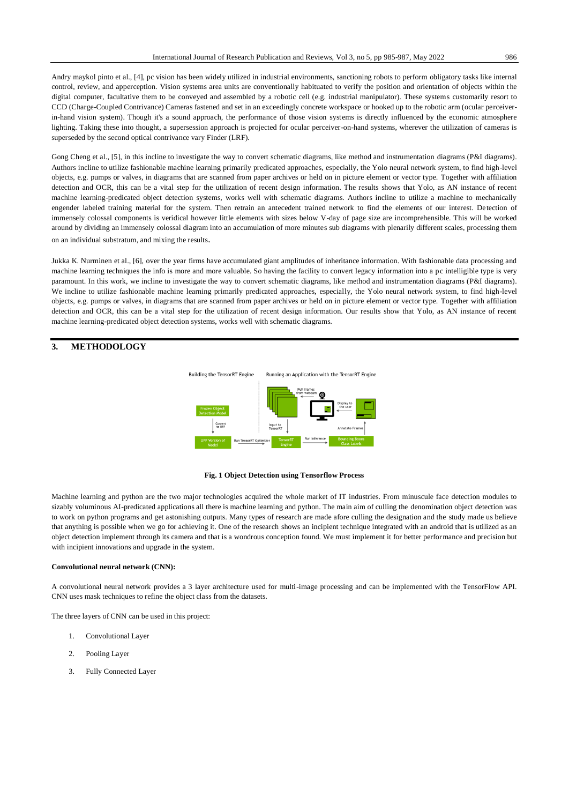Andry maykol pinto et al., [4], pc vision has been widely utilized in industrial environments, sanctioning robots to perform obligatory tasks like internal control, review, and apperception. Vision systems area units are conventionally habituated to verify the position and orientation of objects within the digital computer, facultative them to be conveyed and assembled by a robotic cell (e.g. industrial manipulator). These systems customarily resort to CCD (Charge-Coupled Contrivance) Cameras fastened and set in an exceedingly concrete workspace or hooked up to the robotic arm (ocular perceiverin-hand vision system). Though it's a sound approach, the performance of those vision systems is directly influenced by the economic atmosphere lighting. Taking these into thought, a supersession approach is projected for ocular perceiver-on-hand systems, wherever the utilization of cameras is superseded by the second optical contrivance vary Finder (LRF).

Gong Cheng et al., [5], in this incline to investigate the way to convert schematic diagrams, like method and instrumentation diagrams (P&I diagrams). Authors incline to utilize fashionable machine learning primarily predicated approaches, especially, the Yolo neural network system, to find high-level objects, e.g. pumps or valves, in diagrams that are scanned from paper archives or held on in picture element or vector type. Together with affiliation detection and OCR, this can be a vital step for the utilization of recent design information. The results shows that Yolo, as AN instance of recent machine learning-predicated object detection systems, works well with schematic diagrams. Authors incline to utilize a machine to mechanically engender labeled training material for the system. Then retrain an antecedent trained network to find the elements of our interest. Detection of immensely colossal components is veridical however little elements with sizes below V-day of page size are incomprehensible. This will be worked around by dividing an immensely colossal diagram into an accumulation of more minutes sub diagrams with plenarily different scales, processing them on an individual substratum, and mixing the results.

Jukka K. Nurminen et al., [6], over the year firms have accumulated giant amplitudes of inheritance information. With fashionable data processing and machine learning techniques the info is more and more valuable. So having the facility to convert legacy information into a pc intelligible type is very paramount. In this work, we incline to investigate the way to convert schematic diagrams, like method and instrumentation diagrams (P&I diagrams). We incline to utilize fashionable machine learning primarily predicated approaches, especially, the Yolo neural network system, to find high-level objects, e.g. pumps or valves, in diagrams that are scanned from paper archives or held on in picture element or vector type. Together with affiliation detection and OCR, this can be a vital step for the utilization of recent design information. Our results show that Yolo, as AN instance of recent machine learning-predicated object detection systems, works well with schematic diagrams.

## **3. METHODOLOGY**



#### **Fig. 1 Object Detection using Tensorflow Process**

Machine learning and python are the two major technologies acquired the whole market of IT industries. From minuscule face detection modules to sizably voluminous AI-predicated applications all there is machine learning and python. The main aim of culling the denomination object detection was to work on python programs and get astonishing outputs. Many types of research are made afore culling the designation and the study made us believe that anything is possible when we go for achieving it. One of the research shows an incipient technique integrated with an android that is utilized as an object detection implement through its camera and that is a wondrous conception found. We must implement it for better performance and precision but with incipient innovations and upgrade in the system.

#### **Convolutional neural network (CNN):**

A convolutional neural network provides a 3 layer architecture used for multi-image processing and can be implemented with the TensorFlow API. CNN uses mask techniques to refine the object class from the datasets.

The three layers of CNN can be used in this project:

- 1. Convolutional Layer
- 2. Pooling Layer
- 3. Fully Connected Layer